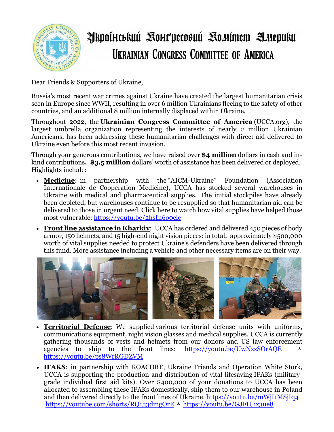

## Zskpaťucekuú Kourpecosuú Komímem Anepuku **UKRAINIAN CONGRESS COMMITTEE OF AMERICA**

Dear Friends & Supporters of Ukraine,

Russia's most recent war crimes against Ukraine have created the largest humanitarian crisis seen in Europe since WWII, resulting in over 6 million Ukrainians fleeing to the safety of other countries, and an additional 8 million internally displaced within Ukraine.

Throughout 2022, the **Ukrainian Congress Committee of America** (UCCA.org), the largest umbrella organization representing the interests of nearly 2 million Ukrainian Americans, has been addressing these humanitarian challenges with direct aid delivered to Ukraine even before this most recent invasion.

Through your generous contributions, we have raised over **\$4 million** dollars in cash and inkind contributions**. \$3.5 million** dollars' worth of assistance has been delivered or deployed. Highlights include:

- **Medicine**: in partnership with the "AICM-Ukraine" Foundation (Association Internationale de Cooperation Medicine), UCCA has stocked several warehouses in Ukraine with medical and pharmaceutical supplies. The initial stockpiles have already been depleted, but warehouses continue to be resupplied so that humanitarian aid can be delivered to those in urgent need. Click here to watch how vital supplies have helped those most vulnerable: <https://youtu.be/2hsIn6o0clc>
- **Front line assistance in Kharkiv**: UCCA has ordered and delivered 450 pieces of body armor, 150 helmets, and 15 high-end night vision pieces: in total, approximately \$500,000 worth of vital supplies needed to protect Ukraine's defenders have been delivered through this fund. More assistance including a vehicle and other necessary items are on their way.



- **Territorial Defense**: We supplied various territorial defense units with uniforms, communications equipment, night vision glasses and medical supplies. UCCA is currently gathering thousands of vests and helmets from our donors and US law enforcement agencies to ship to the front lines: <https://youtu.be/UwNxzSOrAQE> <https://youtu.be/ps8WrRGDZVM>
- **IFAKS**: in partnership with KOACORE, Ukraine Friends and Operation White Stork, UCCA is supporting the production and distribution of vital lifesaving IFAKs (militarygrade individual first aid kits). Over \$400,000 of your donations to UCCA has been allocated to assembling these IFAKs domestically, ship them to our warehouse in Poland and then delivered directly to the front lines of Ukraine. <https://youtu.be/mWjI1MSjIq4> <https://youtube.com/shorts/RQ153dmgOrE>  $\sim$  <https://youtu.be/GJFIUix3ue8>